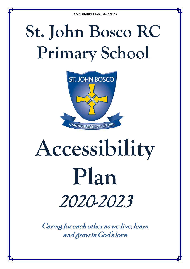# **St. John Bosco RC Primary School**



# **Accessibility Plan** 2020-2023

Caring for each other as we live, learn and grow in God's love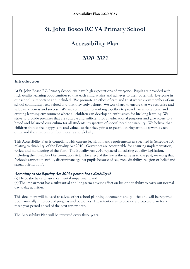## **St. John Bosco RC VA Primary School**

### **Accessibility Plan**

*2020-2023*

#### **Introduction**

At St. John Bosco RC Primary School, we have high expectations of everyone. Pupils are provided with high quality learning opportunities so that each child attains and achieves to their potential. Everyone in our school is important and included. We promote an ethos of care and trust where every member of our school community feels valued and that they truly belong. We work hard to ensure that we recognise and value uniqueness and success. We are committed to working together to provide an inspirational and exciting learning environment where all children can develop an enthusiasm for life-long learning. We strive to provide premises that are suitable and sufficient for all educational purposes and give access to a broad and balanced curriculum for all students irrespective of special need or disability. We believe that children should feel happy, safe and valued so that they gain a respectful, caring attitude towards each other and the environment both locally and globally.

This Accessibility Plan is compliant with current legislation and requirements as specified in Schedule 10, relating to disability, of the Equality Act 2010. Governors are accountable for ensuring implementation, review and monitoring of the Plan. The Equality Act 2010 replaced all existing equality legislation, including the Disability Discrimination Act. The effect of the law is the same as in the past, meaning that "schools cannot unlawfully discriminate against pupils because of sex, race, disability, religion or belief and sexual orientation".

#### According to the Equality Act 2010 a person has a disability if:

(a) He or she has a physical or mental impairment, and

(b) The impairment has a substantial and long-term adverse effect on his or her ability to carry out normal day-to-day activities.

This document will be used to advise other school planning documents and policies and will be reported upon annually in respect of progress and outcomes. The intention is to provide a projected plan for a three year period ahead of the next review date.

The Accessibility Plan will be reviewed every three years.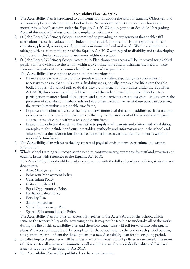- 1. The Accessibility Plan is structured to complement and support the school's Equality Objectives, and will similarly be published on the school website. We understand that the Local Authority will monitor the school's activity under the Equality Act 2010 (and in particular Schedule 10 regarding Accessibility) and will advise upon the compliance with that duty.
- 2. St. John Bosco RC Primary School is committed to providing an environment that enables full curriculum access that values and includes all pupils, staff, parents and visitors regardless of their education, physical, sensory, social, spiritual, emotional and cultural needs. We are committed to taking positive action in the spirit of the Equality Act 2010 with regard to disability and to developing a culture of inclusion, support and awareness within the school.
- 3. St. John Bosco RC Primary School Accessibility Plan shows how access will be improved for disabled pupils, staff and visitors to the school within a given timeframe and anticipating the need to make reasonable adjustments to accommodate their needs where practicable.

The Accessibility Plan contains relevant and timely actions to:-

- Increase access to the curriculum for pupils with a disability, expanding the curriculum as necessary to ensure that pupils with a disability are as, equally, prepared for life as are the able bodied pupils; (If a school fails to do this they are in breach of their duties under the Equalities Act 2010); this covers teaching and learning and the wider curriculum of the school such as participation in after school clubs, leisure and cultural activities or schools visits – it also covers the provision of specialist or auxiliary aids and equipment, which may assist these pupils in accessing the curriculum within a reasonable timeframe;
- Improve and maintain access to the physical environment of the school, adding specialist facilities as necessary – this covers improvements to the physical environment of the school and physical aids to access education within a reasonable timeframe;
- Improve the delivery of written information to pupils, staff, parents and visitors with disabilities; examples might include hand-outs, timetables, textbooks and information about the school and school events; the information should be made available in various preferred formats within a reasonable timeframe.
- 4. The Accessibility Plan relates to the key aspects of physical environment, curriculum and written information.
- 5. Whole school training will recognise the need to continue raising awareness for staff and governors on equality issues with reference to the Equality Act 2010.

This Accessibility Plan should be read in conjunction with the following school policies, strategies and documents:

- Asset Management Plan
- Behaviour Management Policy
- Curriculum Policy
- Critical Incident Plan
- **Equal Opportunities Policy**
- Health & Safety Policy
- **Equality Plan**
- School Prospectus
- School Improvement Plan
- Special Educational Needs Policy

The Accessibility Plan for physical accessibility relates to the Access Audit of the School, which remains the responsibility of the governing body. It may not be feasible to undertake all of the works during the life of this accessibility plan and therefore some items will roll forward into subsequent plans. An accessibility audit will be completed by the school prior to the end of each period covering this plan in order to inform the development of a new Accessibility Plan for the on-going period.

- 6. Equality Impact Assessments will be undertaken as and when school policies are reviewed. The terms of reference for all governors' committees will include the need to consider Equality and Diversity issues as required by the Equality Act 2010.
- 7. The Accessibility Plan will be published on the school website.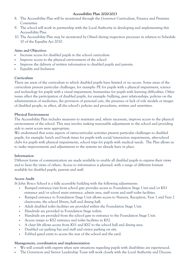- 8. The Accessibility Plan will be monitored through the Governor Curriculum, Finance and Premises Committee
- 9. The school will work in partnership with the Local Authority in developing and implementing this Accessibility Plan.
- 10. The Accessibility Plan may be monitored by Ofsted during inspection processes in relation to Schedule 10 of the Equality Act 2010.

#### **Aims and Objectives**

- Increase access for disabled pupils to the school curriculum
- Improve access to the physical environment of the school
- Improve the delivery of written information to disabled pupils and parents.
- **Equality and Inclusion**

#### **Curriculum**

There are areas of the curriculum to which disabled pupils have limited or no access. Some areas of the curriculum present particular challenges, for example: PE for pupils with a physical impairment, science and technology for pupils with a visual impairment, humanities for pupils with learning difficulties. Other issues affect the participation of disabled pupils, for example: bullying, peer relationships, policies on the administration of medicines, the provision of personal care, the presence or lack of role models or images of disabled people, in effect, all the school's policies and procedures, written and unwritten.

#### **Physical Environment**

The Accessibility Plan includes measures to maintain and, where necessary, improve access to the physical environment of the school. This may involve making reasonable adjustments to the school and providing aids to assist access were appropriate.

We understand that some aspects of extra-curricular activities present particular challenges to disabled pupils, for example: lunch and break times for pupils with social/interaction impairments, after-school clubs for pupils with physical impairments, school trips for pupils with medical needs. The Plan allows us to make improvements and adjustments to the systems we already have in place.

#### **Information**

Different forms of communication are made available to enable all disabled pupils to express their views and to hear the views of others. Access to information is planned, with a range of different formats available for disabled pupils, parents and staff.

#### **Access Audit**

St John Bosco School is a fully accessible building with the following adjustments:

- Ramped entrance/exit from school gate provides access to Foundation Stage Unit and/or KS1 entrance and/or school main entrance, admin area, staff room and staff toilet facilities.
- Ramped entrance to Foundation Stage Unit allows access to Nursery, Reception, Year 1 and Year 2 classrooms, the school library, hall and dining hall.
- Adult disabled toilet facilities are provided within the Foundation Stage Unit.
- Handrails are provided in Foundation Stage toilets.
- Handrails are provided from the school gate to entrance to the Foundation Stage Unit.
- Access ramps to KS2 entrance and toilet facilities in KS2.
- A chair lift allows access from KS1 and KS2 to the school hall and dining area.
- Disabled car parking bay and staff and visitor parking on site.
- Fobbed gated entry to access the rear of the school and the yard.

#### **Management, coordination and implementation**

- We will consult with experts when new situations regarding pupils with disabilities are experienced.
- The Governors and Senior Leadership Team will work closely with the Local Authority and Diocese.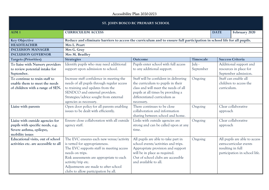#### **ST. JOHN BOSCO RC PRIMARY SCHOOL**

| <b>SI.</b> JULIN DUSCU NC PRIMANT SCHUUL                                                                            |                                                                                                                                                                                                                                                                                            |                                                                                                                                                                                                                 |                     |          |                                                                                                                |  |
|---------------------------------------------------------------------------------------------------------------------|--------------------------------------------------------------------------------------------------------------------------------------------------------------------------------------------------------------------------------------------------------------------------------------------|-----------------------------------------------------------------------------------------------------------------------------------------------------------------------------------------------------------------|---------------------|----------|----------------------------------------------------------------------------------------------------------------|--|
| AIM <sub>1</sub>                                                                                                    | <b>CURRICULUM ACCESS</b>                                                                                                                                                                                                                                                                   |                                                                                                                                                                                                                 |                     |          | February 2020                                                                                                  |  |
| <b>Key Objective</b>                                                                                                | Reduce and eliminate barriers to access the curriculum and to ensure full participation in school life for all pupils.                                                                                                                                                                     |                                                                                                                                                                                                                 |                     |          |                                                                                                                |  |
| <b>HEADTEACHER</b>                                                                                                  | Mrs L. Peart                                                                                                                                                                                                                                                                               |                                                                                                                                                                                                                 |                     |          |                                                                                                                |  |
| <b>INCLUSION MANAGER</b>                                                                                            | Mrs G. Gray                                                                                                                                                                                                                                                                                |                                                                                                                                                                                                                 |                     |          |                                                                                                                |  |
| <b>INCLUSION GOVERNOR</b>                                                                                           | Mrs M. Bradley                                                                                                                                                                                                                                                                             |                                                                                                                                                                                                                 |                     |          |                                                                                                                |  |
| <b>Targets (Priorities)</b>                                                                                         | <b>Strategies</b>                                                                                                                                                                                                                                                                          | <b>Outcome</b>                                                                                                                                                                                                  | Timescale           |          | <b>Success Criteria</b>                                                                                        |  |
| To liaise with Nursery providers<br>to review potential intake for<br>September.                                    | Identify pupils who may need additional<br>support upon admission to school.                                                                                                                                                                                                               | Pupils enter school with full access<br>to any additional support.                                                                                                                                              | July -<br>September |          | Additional support and<br>resources in place for<br>September admission.                                       |  |
| To continue to train staff to<br>enable them to meet the needs<br>of children with a range of SEN.                  | Increase staff confidence in meeting the<br>needs of all pupils through regular access<br>to training and updates from the<br>SENDCO and external providers.<br>Strategies/advice sought from external<br>agencies as necessary.                                                           | Staff will be confident in delivering<br>the curriculum to pupils in their<br>class and will meet the needs of all<br>pupils at all times by providing a<br>differentiated curriculum as<br>necessary.          | Ongoing             |          | Staff can enable all<br>children to access the<br>curriculum.                                                  |  |
| Liaise with parents                                                                                                 | Open door policy for all parents enabling<br>issues to be dealt with efficiently.                                                                                                                                                                                                          | There continues to be close<br>collaboration and information<br>sharing between school and home.                                                                                                                | Ongoing             | approach | Clear collaborative                                                                                            |  |
| Liaise with outside agencies for<br>pupils with specific needs, e.g.<br>Severe asthma, epilepsy,<br>mobility issues | Ensure close collaboration with all outside<br>agency staff.                                                                                                                                                                                                                               | Links with outside agencies are<br>strong and can be called upon at any<br>time.                                                                                                                                | Ongoing             | approach | Clear collaborative                                                                                            |  |
| Educational visits, out of school<br>activities etc. are accessible to all                                          | The EVC ensures each new venue/activity<br>is vetted for appropriateness.<br>The EVC supports staff in meeting access<br>needs on trips.<br>Risk assessments are appropriate to each<br>activity/trip etc.<br>Adjustments are made to after school<br>clubs to allow participation by all. | All pupils are able to take part in<br>school events/activities and trips.<br>Appropriate provision and support<br>will be in place as required.<br>Out of school clubs are accessible<br>and available to all. | Ongoing             |          | All pupils are able to access<br>extra-curricular events<br>resulting in full<br>participation in school life. |  |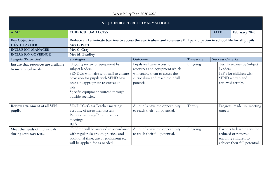| ST. JOHN BOSCO RC PRIMARY SCHOOL                           |                                                                                                                                                                                                                                                 |                                                                                                                                                |                                                        |          |                                                                                              |  |
|------------------------------------------------------------|-------------------------------------------------------------------------------------------------------------------------------------------------------------------------------------------------------------------------------------------------|------------------------------------------------------------------------------------------------------------------------------------------------|--------------------------------------------------------|----------|----------------------------------------------------------------------------------------------|--|
| AIM <sub>1</sub>                                           | <b>CURRICULUM ACCESS</b>                                                                                                                                                                                                                        |                                                                                                                                                |                                                        |          | February 2020                                                                                |  |
| <b>Key Objective</b>                                       | Reduce and eliminate barriers to access the curriculum and to ensure full participation in school life for all pupils.                                                                                                                          |                                                                                                                                                |                                                        |          |                                                                                              |  |
| <b>HEADTEACHER</b>                                         | Mrs L. Peart                                                                                                                                                                                                                                    |                                                                                                                                                |                                                        |          |                                                                                              |  |
| <b>INCLUSION MANAGER</b>                                   | Mrs G. Gray                                                                                                                                                                                                                                     |                                                                                                                                                |                                                        |          |                                                                                              |  |
| <b>INCLUSION GOVERNOR</b>                                  | Mrs M. Bradley                                                                                                                                                                                                                                  |                                                                                                                                                |                                                        |          |                                                                                              |  |
| <b>Targets (Priorities)</b>                                | <b>Strategies</b>                                                                                                                                                                                                                               | <b>Outcome</b>                                                                                                                                 | <b>Timescale</b>                                       |          | <b>Success Criteria</b>                                                                      |  |
| Ensure that resources are available<br>to meet pupil needs | Ongoing review of equipment by<br>subject leaders.<br>SENDCo will liaise with staff to ensure<br>provision for pupils with SEND have<br>access to appropriate resources and<br>aids.<br>Specific equipment sourced through<br>outside agencies. | Pupils will have access to<br>resources and equipment which<br>will enable them to access the<br>curriculum and reach their full<br>potential. | Ongoing                                                | Leaders. | Termly reviews by Subject<br>IEP's for children with<br>SEND written and<br>reviewed termly. |  |
| Review attainment of all SEN<br>pupils.                    | SENDCO/Class Teacher meetings<br>Scrutiny of assessment system<br>Parents evenings/Pupil progress<br>meetings<br>IEP's                                                                                                                          | All pupils have the opportunity<br>to reach their full potential.                                                                              | Termly                                                 | targets  | Progress made in meeting                                                                     |  |
| Meet the needs of individuals<br>during statutory tests.   | Children will be assessed in accordance<br>with regular classroom practice, and<br>additional time, use of equipment etc.<br>will be applied for as needed.                                                                                     | All pupils have the opportunity<br>to reach their full potential.                                                                              | Ongoing<br>reduced or removed,<br>enabling children to |          | Barriers to learning will be<br>achieve their full potential.                                |  |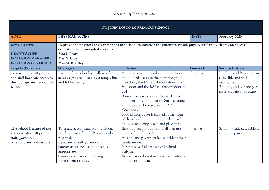| ST. JOHN BOSCO RC PRIMARY SCHOOL                                                                             |                                                                                                                                                                                                                                              |                                                                                                                                                                                                                                                                                                                                                                                                                                                                   |                  |                                                                                                                              |  |  |
|--------------------------------------------------------------------------------------------------------------|----------------------------------------------------------------------------------------------------------------------------------------------------------------------------------------------------------------------------------------------|-------------------------------------------------------------------------------------------------------------------------------------------------------------------------------------------------------------------------------------------------------------------------------------------------------------------------------------------------------------------------------------------------------------------------------------------------------------------|------------------|------------------------------------------------------------------------------------------------------------------------------|--|--|
| AIM <sub>2</sub>                                                                                             | PHYSICAL ACCESS                                                                                                                                                                                                                              | <b>DATE</b>                                                                                                                                                                                                                                                                                                                                                                                                                                                       | February 2020    |                                                                                                                              |  |  |
| <b>Key Objective</b>                                                                                         | Improve the physical environment of the school to increase the extent to which pupils, staff and visitors can access<br>education and associated services.                                                                                   |                                                                                                                                                                                                                                                                                                                                                                                                                                                                   |                  |                                                                                                                              |  |  |
| <b>HEADTEACHER</b>                                                                                           | Mrs L. Peart                                                                                                                                                                                                                                 |                                                                                                                                                                                                                                                                                                                                                                                                                                                                   |                  |                                                                                                                              |  |  |
| <b>INCLUSION MANAGER</b>                                                                                     | Mrs G. Gray                                                                                                                                                                                                                                  |                                                                                                                                                                                                                                                                                                                                                                                                                                                                   |                  |                                                                                                                              |  |  |
| <b>INCLUSION GOVERNOR</b>                                                                                    | Mrs M. Bradley                                                                                                                                                                                                                               |                                                                                                                                                                                                                                                                                                                                                                                                                                                                   |                  |                                                                                                                              |  |  |
| <b>Targets (Priorities)</b>                                                                                  | <b>Strategies</b>                                                                                                                                                                                                                            | Outcome                                                                                                                                                                                                                                                                                                                                                                                                                                                           | <b>Timescale</b> | <b>Success Criteria</b>                                                                                                      |  |  |
| To ensure that all pupils<br>and staff have safe access to<br>the appropriate areas of the<br>school.        | Layout of the school will allow safe<br>access/egress to all areas via ramps, lifts<br>and fobbed entry.                                                                                                                                     | A review of access resulted in new doors<br>and fobbed access to the main reception<br>area door, the KS1 cloakroom door, the<br>Hall door and the KS2 cloakroom door in<br>2019.<br>Ramped access points are located at the<br>main entrance, Foundation Stage entrance<br>and the rear of the school in KS2<br>cloakroom.<br>Fobbed access gate is located at the front<br>of the school so that pupils are kept safe<br>and secure during lunch and playtimes. | Ongoing          | Building and Play areas are<br>accessible and well<br>maintained.<br>Building and outside play<br>areas are safe and secure. |  |  |
| The school is aware of the<br>access needs of all pupils,<br>staff, governors,<br>parent/carers and visitors | To create access plans for individual<br>pupils as part of the IEP process when<br>required.<br>Be aware of staff, governors and<br>parents access needs and meet as<br>appropriate.<br>Consider access needs during<br>recruitment process. | IEPs in place for pupils and all staff are<br>aware of pupils needs<br>All staff and governors feel confident their<br>needs are met<br>Parents have full access to all school<br>activities<br>Access issues do not influence recruitment<br>and retention issues                                                                                                                                                                                                | Ongoing          | School is fully accessible to<br>all in every area.                                                                          |  |  |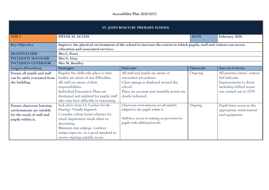| ST. JOHN BOSCO RC PRIMARY SCHOOL                                                                          |                                                                                                                                                                                                                                                                           |                                                                                                                                                                                     |                  |                                                                                                                             |  |  |
|-----------------------------------------------------------------------------------------------------------|---------------------------------------------------------------------------------------------------------------------------------------------------------------------------------------------------------------------------------------------------------------------------|-------------------------------------------------------------------------------------------------------------------------------------------------------------------------------------|------------------|-----------------------------------------------------------------------------------------------------------------------------|--|--|
| AIM <sub>2</sub>                                                                                          | PHYSICAL ACCESS                                                                                                                                                                                                                                                           | <b>DATE</b>                                                                                                                                                                         | February 2020    |                                                                                                                             |  |  |
| <b>Key Objective</b><br><b>HEADTEACHER</b>                                                                | Improve the physical environment of the school to increase the extent to which pupils, staff and visitors can access<br>education and associated services.<br>Mrs L. Peart                                                                                                |                                                                                                                                                                                     |                  |                                                                                                                             |  |  |
| <b>INCLUSION MANAGER</b>                                                                                  | Mrs G. Gray                                                                                                                                                                                                                                                               |                                                                                                                                                                                     |                  |                                                                                                                             |  |  |
| <b>INCLUSION GOVERNOR</b>                                                                                 | Mrs M. Bradley                                                                                                                                                                                                                                                            |                                                                                                                                                                                     |                  |                                                                                                                             |  |  |
| <b>Targets (Priorities)</b>                                                                               | <b>Strategies</b>                                                                                                                                                                                                                                                         | Outcome                                                                                                                                                                             | <b>Timescale</b> | <b>Success Criteria</b>                                                                                                     |  |  |
| Ensure all pupils and staff<br>can be safely evacuated from<br>the building.                              | Regular fire drills take place so that<br>leaders are aware of any difficulties.<br>All staff are aware of their<br>responsibilities.<br>Individual Evacuation Plans are<br>developed and updated for pupils/staff<br>who may have difficulty in evacuating.              | All staff and pupils are aware of<br>evacuation procedures.<br>Clear signage is displayed around the<br>school.<br>Plans are accurate and assembly points are<br>clearly indicated. | Ongoing          | All parents/carers/visitors<br>feel welcome<br>Improvements to doors<br>including fobbed access<br>was carried out in 2019. |  |  |
| Ensure classroom learning<br>environments are suitable<br>for the needs of staff and<br>pupils within it. | Seek advice from LA Teachers for the<br>Hearing/ Visually Impaired.<br>Consider colour/paint schemes for<br>visual impairment needs when re-<br>decorating.<br>Maintain step edgings /outdoor<br>ramps/signs etc. to a good standard to<br>secure ongoing suitable access | Classroom environments are all suitably<br>adapted to the pupils within it.<br>Staff have access to training on provision for<br>pupils with additional needs.                      | Ongoing          | Pupils have access to the<br>appropriate environment<br>and equipment.                                                      |  |  |